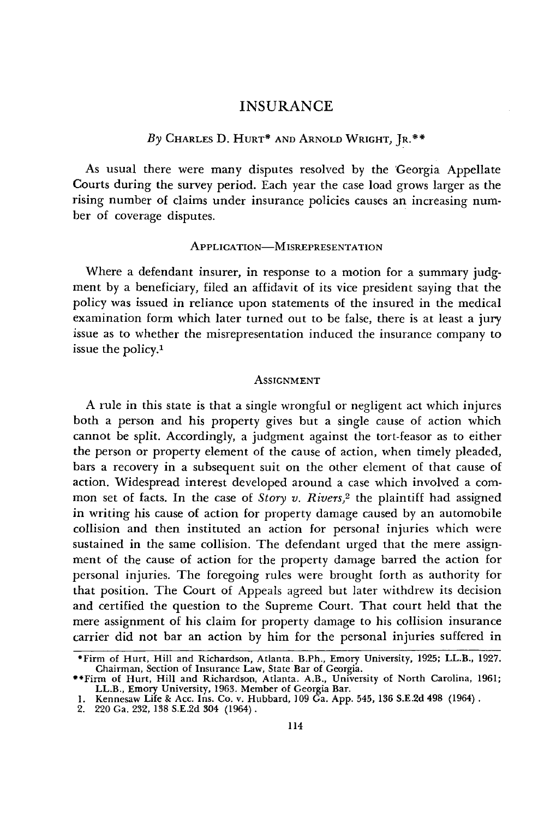# INSURANCE

# *By* CHARLES D. HURT\* AND ARNOLD WRIGHT, JR.\*\*

As usual there were many disputes resolved by the 'Georgia Appellate Courts during the survey period. Each year the case load grows larger as the rising number of claims under insurance policies causes an increasing number of coverage disputes.

## APPLICATION-MISREPRESENTATION

Where a defendant insurer, in response to a motion for a summary judgment by a beneficiary, filed an affidavit of its vice president saying that the policy was issued in reliance upon statements of the insured in the medical examination form which later turned out to be false, there is at least a jury issue as to whether the misrepresentation induced the insurance company to issue the policy.<sup>1</sup>

### ASSIGNMENT

A rule in this state is that a single wrongful or negligent act which injures both a person and his property gives but a single cause of action which cannot be split. Accordingly, a judgment against the tort-feasor as to either the person or property element of the cause of action, when timely pleaded, bars a recovery in a subsequent suit on the other element of that cause of action. Widespread interest developed around a case which involved a common set of facts. In the case of *Story v. Rivers,2* the plaintiff had assigned in writing his cause of action for property damage caused by an automobile collision and then instituted an action for personal injuries which were sustained in the same collision. The defendant urged that the mere assignment of the cause of action for the property damage barred the action for personal injuries. The foregoing rules were brought forth as authority for that position. The Court of Appeals agreed but later withdrew its decision and certified the question to the Supreme Court. That court held that the mere assignment of his claim for property damage to his collision insurance carrier did not bar an action by him for the personal injuries suffered in

<sup>\*</sup>Firm of Hurt, Hill and Richardson, Atlanta. B.Ph., Emory University, 1925; LL.B., 1927.

Chairman, Section of Insurance Law, State Bar of Georgia.<br>
\*\*Firm of Hurt, Hill and Richardson, Atlanta. A.B., University of North Carolina, 1961<br>
LL.B., Emory University, 1963. Member of Georgia Bar.<br>
1. Kennesaw Life & A

<sup>2. 220</sup> Ga. 232, **138** S.E.2d 304 (1964).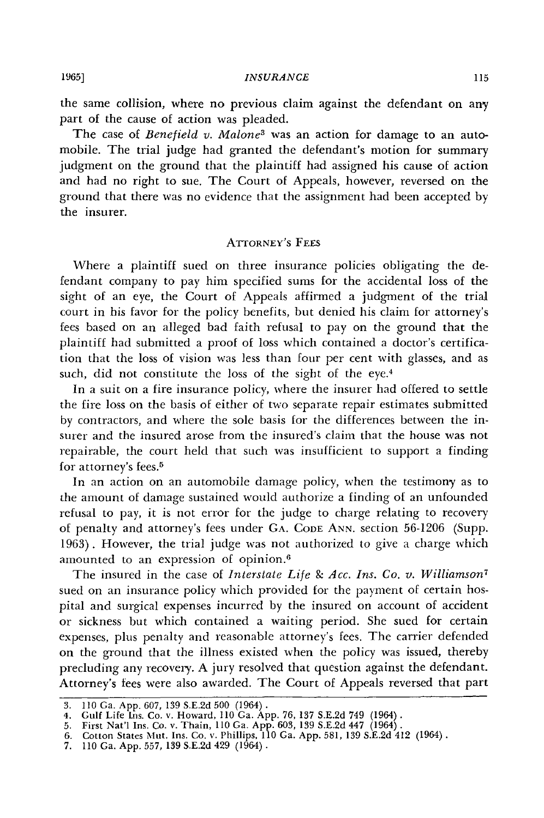the same collision, where no previous claim against the defendant on any part of the cause of action was pleaded.

The case of *Benefield v. Malone3* was an action for damage to an automobile. The trial judge had granted the defendant's motion for summary judgment on the ground that the plaintiff had assigned his cause of action and had no right to sue. The Court of Appeals, however, reversed on the ground that there was no evidence that the assignment had been accepted by the insurer.

## ATrORNEY'S FEES

Where a plaintiff sued on three insurance policies obligating the defendant company to pay him specified sums for the accidental loss of the sight of an eye, the Court of Appeals affirmed a judgment of the trial court in his favor for the policy benefits, but denied his claim for attorney's fees based on an alleged bad faith refusal to pay on the ground that the plaintiff had submitted a proof of loss which contained a doctor's certification that the loss of vision was less than four per cent with glasses, and as such, did not constitute the loss of the sight of the eye.<sup>4</sup>

In a suit on a fire insurance policy, where the insurer had offered to settle the fire loss on the basis of either of two separate repair estimates submitted by contractors, and where the sole basis for the differences between the insurer and the insured arose from the insured's claim that the house was not repairable, the court held that such was insufficient to support a finding for attorney's fees.<sup>5</sup>

In an action on an automobile damage policy, when the testimony as to the amount of damage sustained would authorize a finding of an unfounded refusal to pay, it is not error for the judge to charge relating to recovery of penalty and attorney's fees under GA. CODE ANN. section 56-1206 (Supp. **1963).** However, the trial judge was not authorized to give a charge which amounted to an expression of opinion.<sup>6</sup>

The insured in the case of *Interstate Life & Acc. Ins. Co. v. Williamson<sup>7</sup>* sued on an insurance policy which provided for the payment of certain hospital and surgical expenses incurred by the insured on account of accident or sickness but which contained a waiting period. She sued for certain expenses, plus penalty and reasonable attorney's fees. The carrier defended on the ground that the illness existed when the policy was issued, thereby precluding any recovery. A jury resolved that question against the defendant. Attorney's fees were also awarded. The Court of Appeals reversed that part

<sup>3.</sup> **110** Ga. App. 607, 139 S.E.2d 500 (1964). 4. Gulf Life tns. Co. v. Howard, 110 Ga. App. 76, 137 S.E.2d 749 (1964). 5. First Nat'l Ins. Co. v. Thain, 110 Ga. App. 603, 139 S.E.2d 447 (1964).

<sup>6.</sup> Cotton States Mut. Ins. Co. v. Phillips, 110 Ga. App. 581, 139 S.E.2d 412 (1964).

<sup>7. 110</sup> Ga. App. 557, 139 S.E.2d 429 (1964).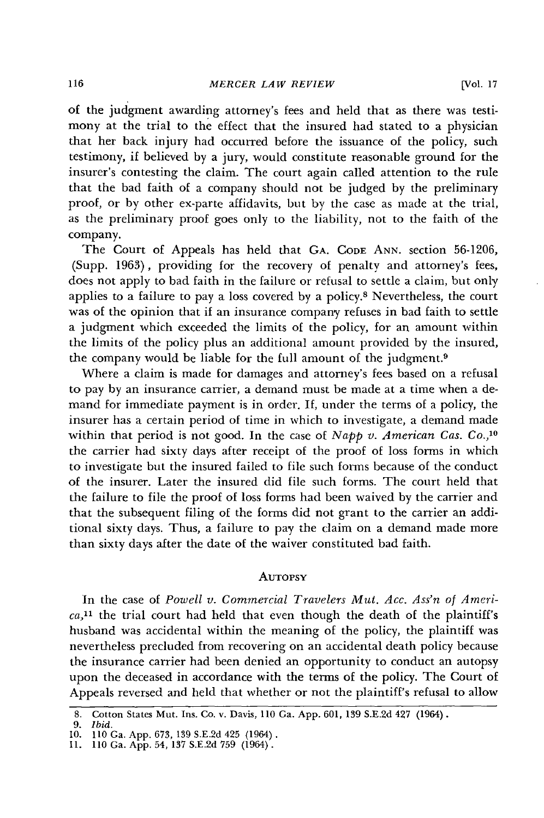of the judgment awarding attorney's fees and held that as there was testimony at the trial to the effect that the insured had stated to a physician that her back injury had occurred before the issuance of the policy, such testimony, if believed by a jury, would constitute reasonable ground for the insurer's contesting the claim. The court again called attention to the rule that the bad faith of a company should not be judged by the preliminary proof, or by other ex-parte affidavits, but by the case as made at the trial, as the preliminary proof goes only to the liability, not to the faith of the company.

The Court of Appeals has held that **GA. CODE** ANN. section 56-1206, (Supp. 1963), providing for the recovery of penalty and attorney's fees, does not apply to bad faith in the failure or refusal to settle a claim, but only applies to a failure to pay a loss covered by a policy.8 Nevertheless, the court was of the opinion that if an insurance company refuses in bad faith to settle a judgment which exceeded the limits of the policy, for an amount within the limits of the policy plus an additional amount provided by the insured, the company would be liable for the full amount of the judgment.<sup>9</sup>

Where a claim is made for damages and attorney's fees based on a refusal to pay by an insurance carrier, a demand must be made at a time when a demand for immediate payment is in order. If, under the terms of a policy, the insurer has a certain period of time in which to investigate, a demand made within that period is not good. In the case of *Napp v. American Cas. Co.,1°* the carrier had sixty days after receipt of the proof of loss forms in which to investigate but the insured failed to file such forms because of the conduct of the insurer. Later the insured did file such forms. The court held that the failure to file the proof of loss forms had been waived by the carrier and that the subsequent filing of the forms did not grant to the carrier an additional sixty days. Thus, a failure to pay the claim on a demand made more than sixty days after the date of the waiver constituted bad faith.

### **AUTOPSY**

In the case of *Powell v. Commercial Travelers Mut. Acc. Ass'n of Ameri* $ca<sub>11</sub>$  the trial court had held that even though the death of the plaintiff's husband was accidental within the meaning of the policy, the plaintiff was nevertheless precluded from recovering on an accidental death policy because the insurance carrier had been denied an opportunity to conduct an autopsy upon the deceased in accordance with the terms of the policy. The Court of Appeals reversed and held that whether or not the plaintiff's refusal to allow

<sup>8.</sup> Cotton States Mut. Ins. Co. v. Davis, 110 Ga. App. 601, 139 S.E.2d 427 (1964).

*<sup>9.</sup> Ibid.* **10. 110** Ga. App. 673, 139 S.E.2d 425 (1964) **. 11. 110** Ga. **App.** 54, 137 S.E.2d 759 (1964).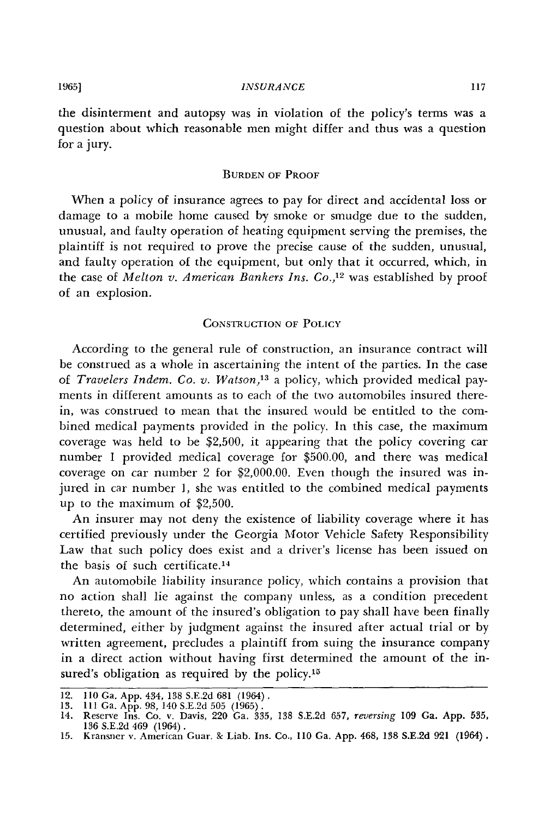the disinterment and autopsy was in violation of the policy's terms was a question about which reasonable men might differ and thus was a question for a jury.

## **BURDEN** OF PROOF

When a policy of insurance agrees to pay for direct and accidental loss or damage to a mobile home caused **by** smoke or smudge due to the sudden, unusual, and faulty operation of heating equipment serving the premises, the plaintiff is not required to prove the precise cause of the sudden, unusual, and faulty operation of the equipment, but only that it occurred, which, in the case of *Melton v. American Bankers Ins. Co.,12* was established by proof of an explosion.

## CONsTRUCTION OF POLICY

According to the general rule of construction, an insurance contract will be construed as a whole in ascertaining the intent of the parties. In the case of *Travelers Indem. Co. v. Watson,' <sup>3</sup>*a policy, which provided medical payments in different amounts as to each of the two automobiles insured therein, was construed to mean that the insured would be entitled to the combined medical payments provided in the policy. In this case, the maximum coverage was held to be \$2,500, it appearing that the policy covering car number 1 provided medical coverage for \$500.00, and there was medical coverage on car number 2 for \$2,000.00. Even though the insured was injured in car number **1,** she was entitled to the combined medical payments up to the maximum of \$2,500.

An insurer may not deny the existence of liability coverage where it has certified previously under the Georgia Motor Vehicle Safety Responsibility Law that such policy does exist and a driver's license has been issued on the basis of such certificate.<sup>14</sup>

An automobile liability insurance policy, which contains a provision that no action shall lie against the company unless, as a condition precedent thereto, the amount of the insured's obligation to pay shall have been finally determined, either by judgment against the insured after actual trial or by written agreement, precludes a plaintiff from suing the insurance company in a direct action without having first determined the amount of the insured's obligation as required by the policy.<sup>15</sup>

<sup>12. 110</sup> Ga. App. 434, 138 S.E.2d 681 (1964).

<sup>13. 111</sup> Ga. App. 98, 140 S.E.2d 505 (1965).<br>14. Reserve Ins. Co. v. Davis, 220 Ga. 335, 138 S.E.2d 657, *reversing* 109 Ga. App. 535 136 S.E.2d 469 (1964). 15. Kransner v. American Guar. **ge** Liab. Ins. Co., **110** Ga. **App.** 468, **138 S.E.2d 921** (1964).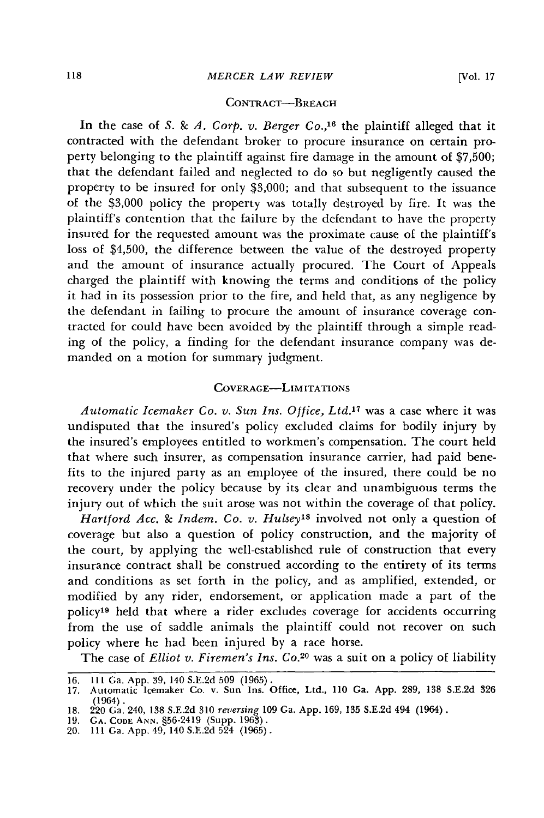# CONTRACT-BREACH

In the case of *S. & A. Corp. v. Berger Co.,16* the plaintiff alleged that it contracted with the defendant broker to procure insurance on certain property belonging to the plaintiff against fire damage in the amount of \$7,500; that the defendant failed and neglected to do so but negligently caused the property to be insured for only \$3,000; and that subsequent to the issuance of the \$3,000 policy the property was totally destroyed by fire. It was the plaintiff's contention that the failure by the defendant to have the property insured for the requested amount was the proximate cause of the plaintiff's loss of \$4,500, the difference between the value of the destroyed property and the amount of insurance actually procured. The Court of Appeals charged the plaintiff with knowing the terms and conditions of the policy it had in its possession prior to the fire, and held that, as any negligence by the defendant in failing to procure the amount of insurance coverage contracted for could have been avoided **by** the plaintiff through a simple reading of the policy, a finding for the defendant insurance company was demanded on a motion for summary judgment.

# COVERAGE-LiMITATIONS

*Automatic Icemaker Co. v. Sun Ins. Office, Ltd.17* was a case where it was undisputed that the insured's policy excluded claims for bodily injury by the insured's employees entitled to workmen's compensation. The court held that where such insurer, as compensation insurance carrier, had paid benefits to the injured party as an employee of the insured, there could be no recovery under the policy because by its clear and unambiguous terms the injury out of which the suit arose was not within the coverage of that policy.

*Hartford Acc. & Indem. Co. v. Hulsey's* involved not only a question of coverage but also a question of policy construction, and the majority of the court, by applying the well-established rule of construction that every insurance contract shall be construed according to the entirety of its terms and conditions as set forth in the policy, and as amplified, extended, or modified by any rider, endorsement, or application made a part of the policy19 held that where a rider excludes coverage for accidents occurring from the use of saddle animals the plaintiff could not recover on such policy where he had been injured by a race horse.

The case of *Elliot v. Firemen's Ins. Co.*<sup>20</sup> was a suit on a policy of liability

<sup>16. 111</sup> Ga. App. 39, 140 S.E.2d 509 (1965). 17. Automatic Icemaker Co. v. Sun Ins. Office, Ltd., 110 Ga. App. 289, 138 S.E.2d 326 (1964).

<sup>18. 220</sup> Ga. 240, 138 S.E.2d 310 *reversing* 109 Ga. App. 169, 135 S.E.2d 494 (1964).

<sup>19.</sup> GA. **CODE ANN.** §56-2419 (Supp. 1963).

<sup>20. 111</sup> Ga. App. 49, 140 S.E.2d 524 (1965).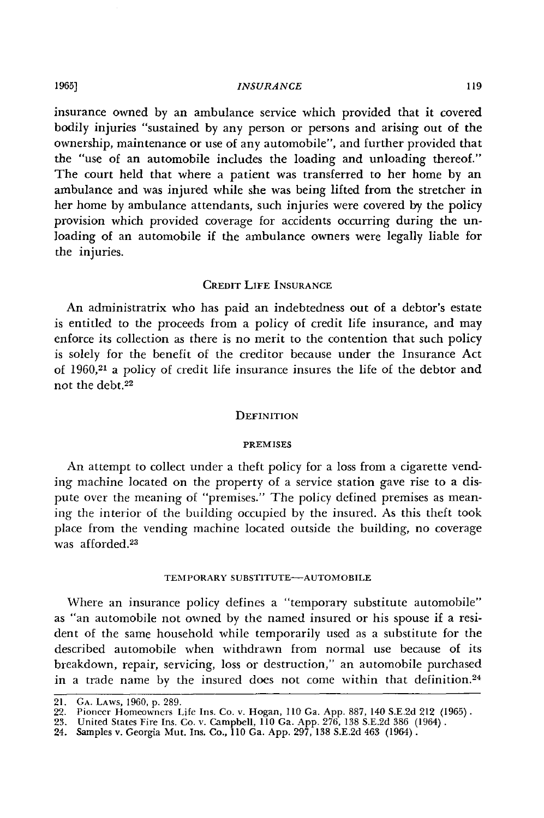## *INSURANCE*

insurance owned by an ambulance service which provided that it covered bodily injuries "sustained by any person or persons and arising out of the ownership, maintenance or use of any automobile", and further provided that the "use of an automobile includes the loading and unloading thereof." The court held that where a patient was transferred to her home **by** an ambulance and was injured while she was being lifted from the stretcher in her home by ambulance attendants, such injuries were covered **by** the policy provision which provided coverage for accidents occurring during the unloading of an automobile if the ambulance owners were legally liable for the injuries.

## CREDIT LIFE INSURANCE

An administratrix who has paid an indebtedness out of a debtor's estate is entitled to the proceeds from a policy of credit life insurance, and may enforce its collection as there is no merit to the contention that such policy is solely for the benefit of the creditor because under the Insurance Act of 1960,21 a policy of credit life insurance insures the life of the debtor and not the debt.<sup>22</sup>

## **DEFINITION**

#### PREMISES

An attempt to collect under a theft policy for a loss from a cigarette vending machine located on the property of a service station gave rise to a dispute over the meaning of "premises." The policy defined premises as meaning the interior of the building occupied **by** the insured. As this theft took place from the vending machine located outside the building, no coverage was afforded.<sup>23</sup>

### TEMPORARY **SUBSTITUTE-AUTOMOBILE**

Where an insurance policy defines a "temporary substitute automobile" as "an automobile not owned **by** the named insured or his spouse if a resident of the same household while temporarily used as a substitute for the described automobile when withdrawn from normal use because of its breakdown, repair, servicing, loss or destruction," an automobile purchased in a trade name by the insured does not come within that definition.<sup>24</sup>

**1965]**

<sup>21.</sup> **GA.** LAWS, 1960, p. 289.

<sup>22.</sup> Pioneer Homeowners Life Ins. Co. v. Hogan, 110 Ga. App. 887, 140 S.E.2d 212 (1965)<br>23. United States Fire Ins. Co. v. Campbell, 110 Ga. App. 276, 138 S.E.2d 386 (1964).<br>24. Samples v. Georgia Mut. Ins. Co., 110 Ga. App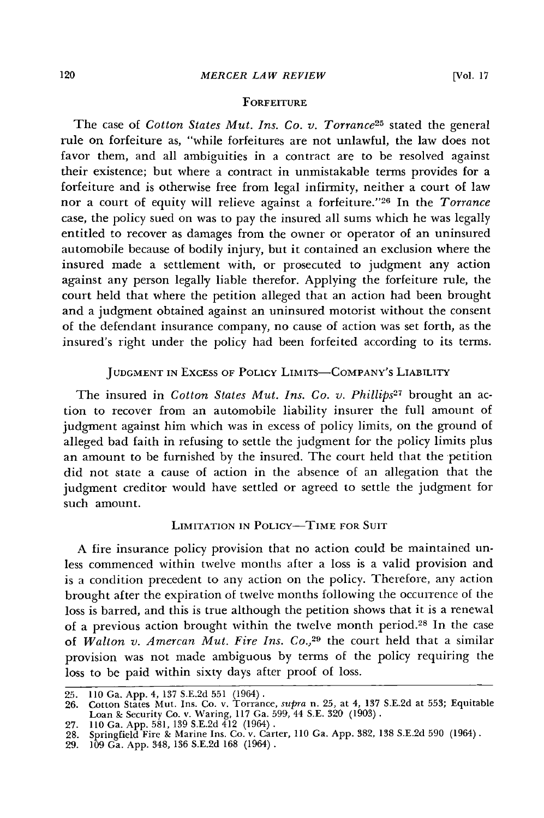# **FORFEITURE**

The case of *Cotton States Mut. Ins. Co. v. Torrance25* stated the general rule on forfeiture as, "while forfeitures are not unlawful, the law does not favor them, and all ambiguities in a contract are to be resolved against their existence; but where a contract in unmistakable terms provides for a forfeiture and is otherwise free from legal infirmity, neither a court of law nor a court of equity will relieve against a forfeiture. '26 In the *Torrance* case, the policy sued on was to pay the insured all sums which he was legally entitled to recover as damages from the owner or operator of an uninsured automobile because of bodily injury, but it contained an exclusion where the insured made a settlement with, or prosecuted to judgment any action against any person legally liable therefor. Applying the forfeiture rule, the court held that where the petition alleged that an action had been brought and a judgment obtained against an uninsured motorist without the consent of the defendant insurance company, no cause of action was set forth, as the insured's right under the policy had been forfeited according to its terms.

# **JUDGMENT IN EXCESS OF POLICY LIMITS-COMPANY'S LIABILITY**

The insured in *Cotton States Mut. Ins. Co. v. Phillips27* brought an action to recover from an automobile liability insurer the full amount of judgment against him which was in excess of policy limits, on the ground of alleged bad faith in refusing to settle the judgment for the policy limits plus an amount to be furnished by the insured. The court held that the petition did not state a cause of action in the absence of an allegation that the judgment creditor would have settled or agreed to settle the judgment for such amount.

# LIMITATION IN POLICY-TIME FOR SUIT

A fire insurance policy provision that no action could be maintained unless commenced within twelve months after a loss is a valid provision and is a condition precedent to any action on the policy. Therefore, any action brought after the expiration of twelve months following the occurrence of the loss is barred, and this is true although the petition shows that it is a renewal of a previous action brought within the twelve month period.<sup>28</sup> In the case of *Walton v. Amercan Mut. Fire Ins. Co.*<sup>29</sup> the court held that a similar provision was not made ambiguous by terms of the policy requiring the loss to be paid within sixty days after proof of loss.

27. 110 Ga. App. 581, 139 S.E.2d 412 (1964) .<br>28. Springfield Fire & Marine Ins. Co. v. Carter, 110 Ga. App. 382, 138 S.E.2d 590 (1964)<br>29. 109 Ga. App. 348, 136 S.E.2d 168 (1964) .

<sup>25. 110</sup> Ga. App. 4, 137 S.E.2d 551 (1964). 26. Cotton States Mut. Ins. Co. v. Torrance, *supra* n. 25, at 4, 137 S.E.2d at 553; Equitable Loan **&** Security Co. v. Waring, 117 Ga. 599, 44 S.E. 320 (1903).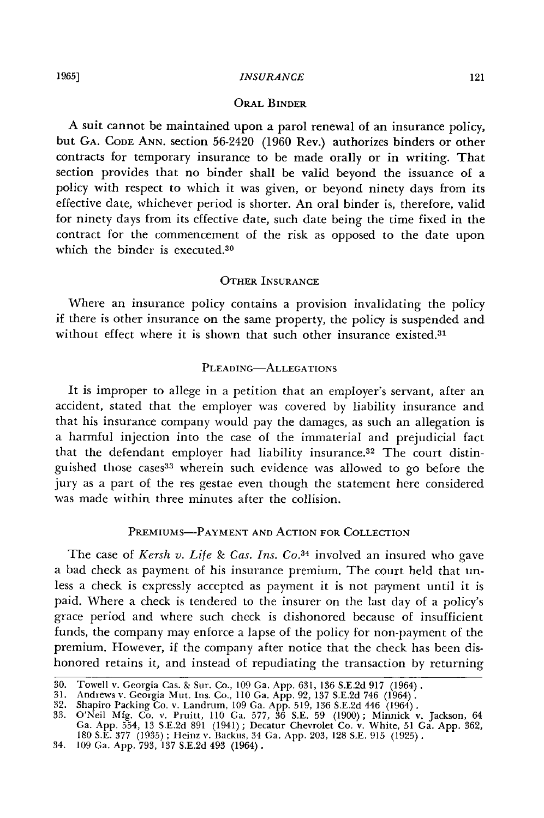# **ORAL BINDER**

**A** suit cannot be maintained upon a parol renewal of an insurance policy, but **GA. CODE ANN.** section 56-2420 (1960 Rev.) authorizes binders or other contracts for temporary insurance to be made orally or in writing. That section provides that no binder shall be valid beyond the issuance of a policy with respect to which it was given, or beyond ninety days from its effective date, whichever period is shorter. An oral binder is, therefore, valid for ninety days from its effective date, such date being the time fixed in the contract for the commencement of the risk as opposed to the date upon which the binder is executed.<sup>30</sup>

## OTHER **INSURANCE**

Where an insurance policy contains a provision invalidating the policy if there is other insurance on the same property, the policy is suspended and without effect where it is shown that such other insurance existed.<sup>31</sup>

## PLEADING-ALLEGATIONS

It is improper to allege in a petition that an employer's servant, after an accident, stated that the employer was covered by liability insurance and that his insurance company would pay the damages, as such an allegation is a harmful injection into the case of the immaterial and prejudicial fact that the defendant employer had liability insurance.32 The court distinguished those cases33 wherein such evidence was allowed to go before the jury as a part of the res gestae even though the statement here considered was made within three minutes after the collision.

# PREMIUMS-PAYMENT **AND** ACTION FOR COLLECTION

The case of *Kersh v. Life & Cas. Ins. Co.*<sup>34</sup> involved an insured who gave a bad check as payment of his insurance premium. The court held that unless a check is expressly accepted as payment it is not payment until it is paid. Where a check is tendered to the insurer on the last day of a policy's grace period and where such check is dishonored because of insufficient funds, the company may enforce a lapse of the policy for non-payment of the premium. However, if the company after notice that the check has been dishonored retains it, and instead of repudiating the transaction by returning

<sup>30.</sup> Towell v. Georgia Cas. **&.** Sur. Co., 109 Ga. App. 631, 136 S.E.2d 917 (1964).

<sup>31.</sup> Andrews v. Georgia Mut. Ins. Co., 110 Ga. App. 92, 137 S.E.2d 746 (1964).

<sup>32.</sup> Shapiro Packing Co. v. Landrum, 109 Ga. App. 519, 136 S.E.2d 446 (1964). 33. O'Neil Mfg. Co. v. Pruitt, 110 Ga. 577, 36 S.E. 59 (1900); Minnick v. Jackson, 64

Ga. App. 554, 13 S.E.2d 891 (1941); Decatur Chevrolet Co. v. White, 51 Ga. App. 362<br>180 S.E. 377 (1935); Heinz v. Backus, 34 Ga. App. 203, 128 S.E. 915 (1925).<br>34. 109 Ga. App. 793, 137 S.E.2d 493 (1964).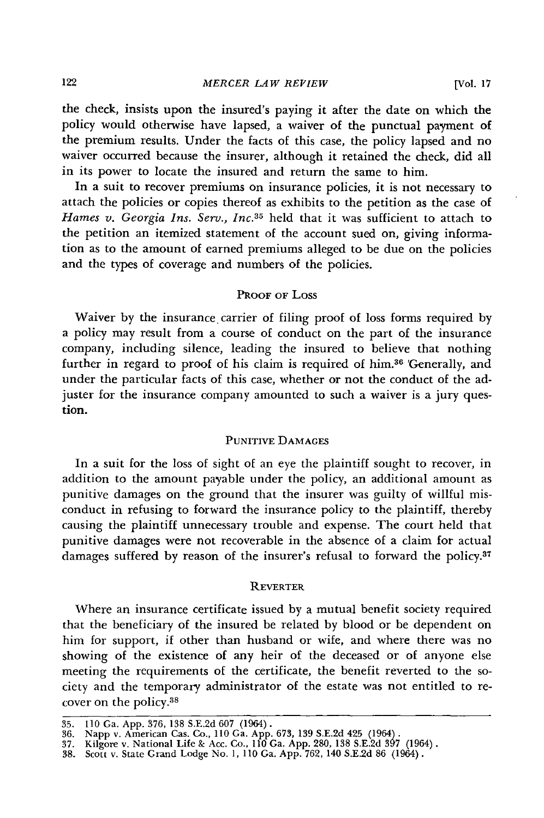the check, insists upon the insured's paying it after the date on which the policy would otherwise have lapsed, a waiver of the punctual payment of the premium results. Under the facts of this case, the policy lapsed and no waiver occurred because the insurer, although it retained the check, did all in its power to locate the insured and return the same to him.

In a suit to recover premiums on insurance policies, it is not necessary to attach the policies or copies thereof as exhibits to the petition as the case of Hames v. Georgia Ins. Serv., Inc.<sup>35</sup> held that it was sufficient to attach to the petition an itemized statement of the account sued on, giving information as to the amount of earned premiums alleged to be due on the policies and the types of coverage and numbers of the policies.

## PROOF OF LOSS

Waiver **by** the insurance carrier of filing proof of loss forms required **by** a policy may result from a course of conduct on the part of the insurance company, including silence, leading the insured to believe that nothing further in regard to proof of his claim is required of him.36 'Generally, and under the particular facts of this case, whether or not the conduct of the adjuster for the insurance company amounted to such a waiver is a jury question.

# PUNITIvE DAMAGES

In a suit for the loss of sight of an eye the plaintiff sought to recover, in addition to the amount payable under the policy, an additional amount as punitive damages on the ground that the insurer was guilty of willful misconduct in refusing to forward the insurance policy to the plaintiff, thereby causing the plaintiff unnecessary trouble and expense. The court held that punitive damages were not recoverable in the absence of a claim for actual damages suffered **by** reason of the insurer's refusal to forward the **policy. <sup>37</sup>**

# REVERTER

Where an insurance certificate issued by a mutual benefit society required that the beneficiary of the insured be related by blood or be dependent on him for support, if other than husband or wife, and where there was no showing of the existence of any heir of the deceased or of anyone else meeting the requirements of the certificate, the benefit reverted to the society and the temporary administrator of the estate was not entitled to recover on the **policy. <sup>38</sup>**

<sup>35. 110</sup> Ga. App. 376, 138 S.E.2d 607 (1964).<br>36. Napp v. American Cas. Co., 110 Ga. App. 673, 139 S.E.2d 425 (1964).<br>37. Kilgore v. National Life & Acc. Co., 110 Ga. App. 280, 138 S.E.2d 397 (1964)<br>38. Scott v. State Grand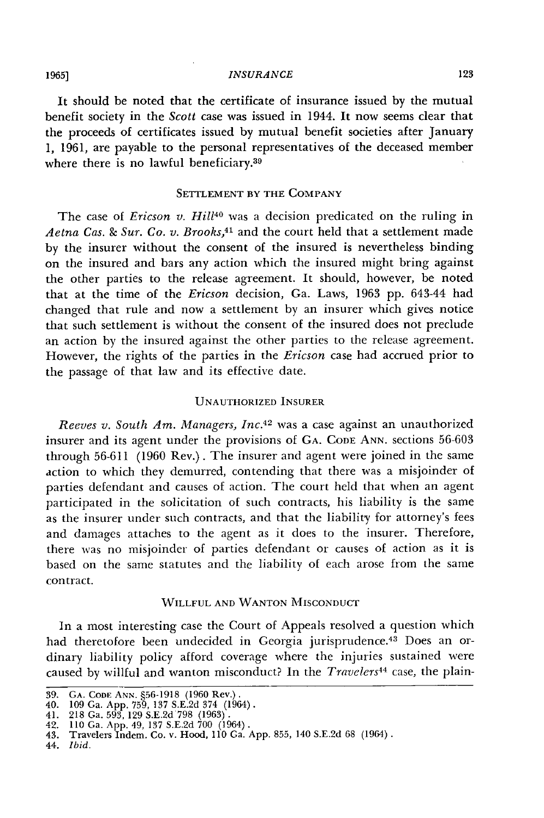### **1965]** *INSURANCE* **123**

It should be noted that the certificate of insurance issued by the mutual benefit society in the *Scott* case was issued in 1944. It now seems clear that the proceeds of certificates issued **by** mutual benefit societies after January 1, 1961, are payable to the personal representatives of the deceased member where there is no lawful beneficiary.<sup>39</sup>

## **SETTLEMENT** BY THE COMPANY

The case of *Ericson v. Hill40* was a decision predicated on the ruling in *Aetna Cas. & Sur. Co. v. Brooks,<sup>41</sup>*and the court held that a settlement made **by** the insurer without the consent of the insured is nevertheless binding on the insured and bars any action which the insured might bring against the other parties to the release agreement. It should, however, be noted that at the time of the *Ericson* decision, Ga. Laws, **1963 pp.** 643-44 had changed that rule and now a settlement **by** an insurer which gives notice that such settlement is without the consent of the insured does not preclude an action **by** the insured against the other parties to the release agreement. However, the rights of the parties in the *Ericson* case had accrued prior to the passage of that law and its effective date.

### UNAUTHORIZED INSURER

*Reeves v. South Am. Managers, Inc.4 <sup>2</sup>*was a case against an unauthorized insurer and its agent under the provisions of GA. CODE ANN. sections **56-603** through 56-611 (1960 Rev.). The insurer and agent were joined in the same action to which they demurred, contending that there was a misjoinder of parties defendant and causes of action. The court held that when an agent participated in the solicitation of such contracts, his liability is the same as the insurer under such contracts, and that the liability for attorney's fees and damages attaches to the agent as it does to the insurer. Therefore, there was no misjoinder of parties defendant or causes of action as it is based on the same statutes and the liability of each arose from the same contract.

# **WILLFUL AND WANTON MISCONDUCT**

In a most interesting case the Court of Appeals resolved a question which had theretofore been undecided in Georgia jurisprudence.<sup>43</sup> Does an ordinary liability policy afford coverage where the injuries sustained were caused **by** willful and wanton misconduct? In the *Travelers44* case, the plain-

**<sup>39.</sup> GA. CODE ANN.** §56-1918 (1960 Rev.). 40. **109** Ga. App. 759, **137** S.E.2d 374 (1964). 41. 218 Ga. 593, 129 S.E.2d 798 **(1963).**

<sup>42.</sup> **110** Ga. App. 49, **137** S.E.2d 700 (1964). 43. Travelers Indem. Co. v. Hood, 110 Ga. App. 855, 140 S.E.2d 68 (1964) **.**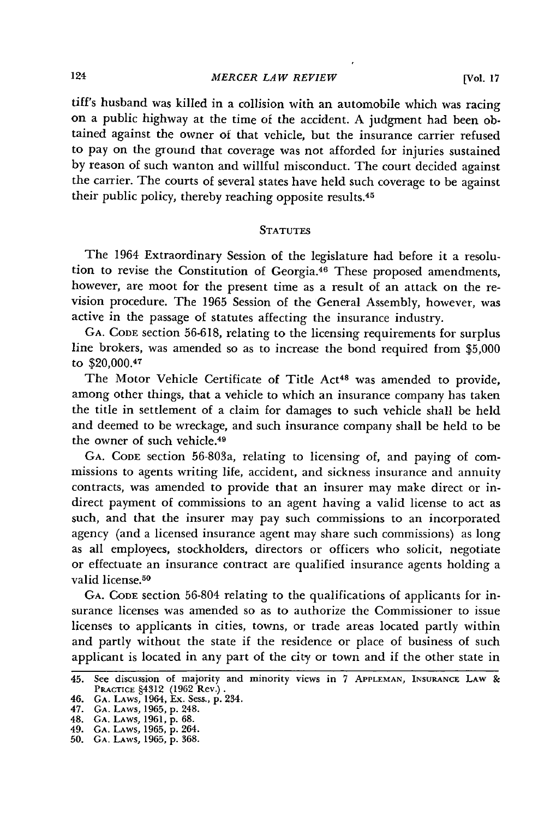### *MERCER LAW REVIEW*

tiff's husband was killed in a collision with an automobile which was racing on a public highway at the time of the accident. A judgment had been obtained against the owner of that vehicle, but the insurance carrier refused to pay on the ground that coverage was not afforded for injuries sustained by reason of such wanton and willful misconduct. The court decided against the carrier. The courts of several states have held such coverage to be against their public policy, thereby reaching opposite results.<sup>45</sup>

## **STATUTES**

The 1964 Extraordinary Session of the legislature had before it a resolution to revise the Constitution of Georgia.<sup>46</sup> These proposed amendments, however, are moot for the present time as a result of an attack on the revision procedure. The **1965** Session of the General Assembly, however, was active in the passage of statutes affecting the insurance industry.

**GA.** CODE section 56-618, relating to the licensing requirements for surplus line brokers, was amended so as to increase the bond required from \$5,000 to \$20,000.47

The Motor Vehicle Certificate of Title Act<sup>48</sup> was amended to provide, among other things, that a vehicle to which an insurance company has taken the title in settlement of a claim for damages to such vehicle shall be held and deemed to be wreckage, and such insurance company shall be held to be the owner of such vehicle. <sup>49</sup>

GA. CODE section 56-803a, relating to licensing of, and paying of commissions to agents writing life, accident, and sickness insurance and annuity contracts, was amended to provide that an insurer may make direct or indirect payment of commissions to an agent having a valid license to act as such, and that the insurer may pay such commissions to an incorporated agency (and a licensed insurance agent may share such commissions) as long as all employees, stockholders, directors or officers who solicit, negotiate or effectuate an insurance contract are qualified insurance agents holding a valid license.<sup>50</sup>

**GA.** CODE section 56-804 relating to the qualifications of applicants for insurance licenses was amended so as to authorize the Commissioner to issue licenses to applicants in cities, towns, or trade areas located partly within and partly without the state if the residence or place of business of such applicant is located in any part of the city or town and if the other state in

<sup>45.</sup> See discussion of majority and minority views in **7 APPLEMAN,** INSURANcE LAW **&** PRACTICE §4312 (1962 Rev.). 46. **GA.** LAWS, 1964, **Ex.** Sess., **p.** 234. 47. **GA.** LAWS, 1965, **p.** 248.

<sup>48.</sup> **GA.** LAWS, **1961, p.** 68. 49. **GA.** LAWS, 1965, **p.** 264.

**<sup>50.</sup> GA.** LAWS, 1965, **p.** 368.